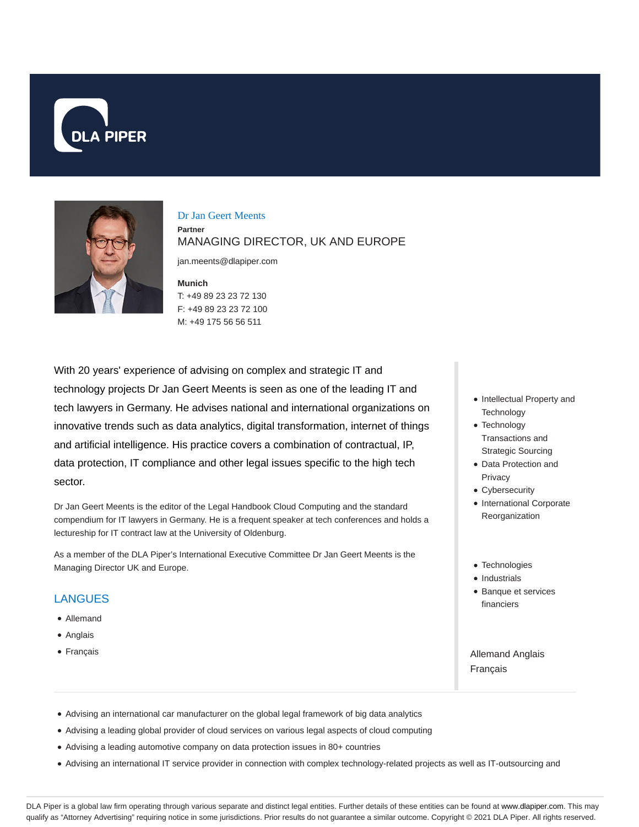



Dr Jan Geert Meents **Partner** MANAGING DIRECTOR, UK AND EUROPE

jan.meents@dlapiper.com

**Munich**

T: +49 89 23 23 72 130 F: +49 89 23 23 72 100 M: +49 175 56 56 511

With 20 years' experience of advising on complex and strategic IT and technology projects Dr Jan Geert Meents is seen as one of the leading IT and tech lawyers in Germany. He advises national and international organizations on innovative trends such as data analytics, digital transformation, internet of things and artificial intelligence. His practice covers a combination of contractual, IP, data protection, IT compliance and other legal issues specific to the high tech sector.

Dr Jan Geert Meents is the editor of the Legal Handbook Cloud Computing and the standard compendium for IT lawyers in Germany. He is a frequent speaker at tech conferences and holds a lectureship for IT contract law at the University of Oldenburg.

As a member of the DLA Piper's International Executive Committee Dr Jan Geert Meents is the Managing Director UK and Europe.

## LANGUES

- Allemand
- Anglais
- Français
- Intellectual Property and **Technology**
- Technology Transactions and Strategic Sourcing
- Data Protection and Privacy
- Cybersecurity
- International Corporate Reorganization
- Technologies
- Industrials
- Banque et services financiers

Allemand Anglais Français

- Advising an international car manufacturer on the global legal framework of big data analytics
- Advising a leading global provider of cloud services on various legal aspects of cloud computing
- Advising a leading automotive company on data protection issues in 80+ countries
- Advising an international IT service provider in connection with complex technology-related projects as well as IT-outsourcing and

DLA Piper is a global law firm operating through various separate and distinct legal entities. Further details of these entities can be found at www.dlapiper.com. This may qualify as "Attorney Advertising" requiring notice in some jurisdictions. Prior results do not guarantee a similar outcome. Copyright © 2021 DLA Piper. All rights reserved.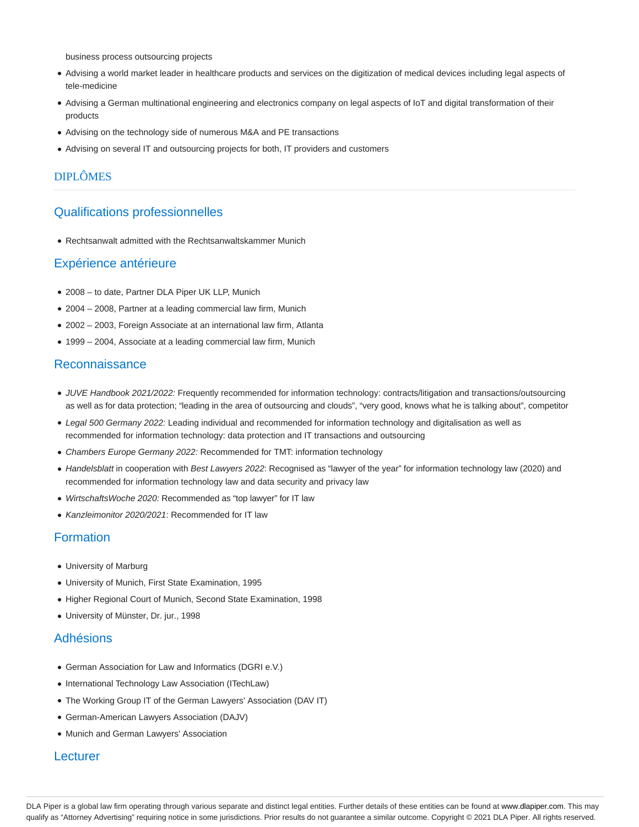business process outsourcing projects

- Advising a world market leader in healthcare products and services on the digitization of medical devices including legal aspects of tele-medicine
- Advising a German multinational engineering and electronics company on legal aspects of IoT and digital transformation of their products
- Advising on the technology side of numerous M&A and PE transactions
- Advising on several IT and outsourcing projects for both, IT providers and customers

#### DIPLÔMES

## Qualifications professionnelles

Rechtsanwalt admitted with the Rechtsanwaltskammer Munich

#### Expérience antérieure

- 2008 to date, Partner DLA Piper UK LLP, Munich
- 2004 2008, Partner at a leading commercial law firm, Munich
- 2002 2003, Foreign Associate at an international law firm, Atlanta
- 1999 2004, Associate at a leading commercial law firm, Munich

## Reconnaissance

- JUVE Handbook 2021/2022: Frequently recommended for information technology: contracts/litigation and transactions/outsourcing as well as for data protection; "leading in the area of outsourcing and clouds", "very good, knows what he is talking about", competitor
- Legal 500 Germany 2022: Leading individual and recommended for information technology and digitalisation as well as recommended for information technology: data protection and IT transactions and outsourcing
- Chambers Europe Germany 2022: Recommended for TMT: information technology
- Handelsblatt in cooperation with Best Lawyers 2022: Recognised as "lawyer of the year" for information technology law (2020) and recommended for information technology law and data security and privacy law
- WirtschaftsWoche 2020: Recommended as "top lawyer" for IT law
- Kanzleimonitor 2020/2021: Recommended for IT law

#### Formation

- University of Marburg
- University of Munich, First State Examination, 1995
- Higher Regional Court of Munich, Second State Examination, 1998
- University of Münster, Dr. jur., 1998

### Adhésions

- German Association for Law and Informatics (DGRI e.V.)
- International Technology Law Association (ITechLaw)
- The Working Group IT of the German Lawyers' Association (DAV IT)
- German-American Lawyers Association (DAJV)
- Munich and German Lawyers' Association

#### **Lecturer**